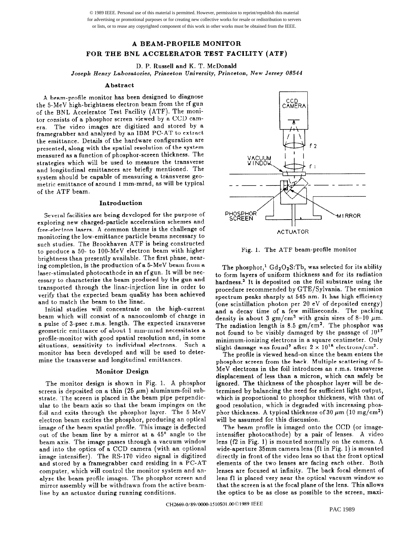© 1989 IEEE. Personal use of this material is permitted. However, permission to reprint/republish this material for advertising or promotional purposes or for creating new collective works for resale or redistribution to servers or lists, or to reuse any copyrighted component of this work in other works must be obtained from the IEEE.

# A BEAM-PROFILE MONITOR FOR THE BNL ACCELERATOR TEST FACILITY (ATF)

D. P. Russell and K. T. McDonald

Josepll Henry Laboratories, Princeton University, Princeton, New Jersey 08544

## Abstract

A beam-profile monitor has been designed to diagnose the 5-MeV high-brightness electron beam from the rf gun of the BNL Accelerator Test Facility (ATF). The monitor consists of a phosphor screen viewed by a CCD camera. The video images are digitized and stored by a framegrabber and analyzed by an IBM PC-AT to extract the emittance. Details of the hardware configuration are presented, along with the spatial resolution of the system measured as a function of phosphor-screen thickness. The strategies which will be used to measure the transverse and longitudinal emittances are briefly mentioned. The system should be capable of measuring a transverse geometric emittance of around 1 mm-mrad, as will be typical of the ATF beam.

### Introduction

Several facilities are being developed for the purpose of exploring new charged-particle acceleration schemes and free-electron lasers. A common theme is the challenge of monitoring the low-emittance particle beams necessary to such studies. The Brookhaven ATF is being constructed to produce a 50- to lOO-MeV electron beam with higher brightness than presently available. The first phase, nearing completion, is the production of a 5-MeV beam from a laser-stimulated photocathode in an rf gun. It will be necessary to characterize the beam produced by the gun and transported through the linac-injection line in order to verify that the expected beam quality has been achieved and to match the beam to the linac.

Initial studies will concentrate on the high-current beam which will consist of a nanocoulomb of charge in a pulse of 3-psec r.m.s. length. The expected iransverse geometric emittance of about 1 mm-mrad necessitates a profile-monitor with good spatial resolution and, in some situations, sensitivity to individual electrons. Such a monitor has been developed and will be used to determine the transverse and longitudinal emittances.

### Monitor Design

The monitor design is shown in Fig. 1. A phosphor screen is deposited on a thin  $(25 \ \mu m)$  aluminum-foil substrate. The screen is placed in the beam pipe perpendicular to the beam axis so that the beam impinges on the foil and exits through the phosphor layer. The 5-MeV electron beam excites the phosphor, producing an optical image of the beam spatial profile. This image is deflected out of the beam line by a mirror at a 45' angle to the beam axis. The image passes through a vacuum window and into the optics of a CCD camera (with an optional image intensifier). The RS-170 video signal is digitized and stored by a framegrabber card residing in a PC-AT computer, which will control the monitor system and analyze the beam profile images. The phosphor screen and mirror assembly will be withdrawn from the active beamline by an actuator during running conditions.



Fig. 1. The ATF beam-profile monitor

The phosphor,<sup>1</sup>  $Gd<sub>2</sub>O<sub>2</sub>S$ :Tb, was selected for its ability to form layers of uniform thickness and for its radiation hardness.2 It is deposited on the foil substrate using the procedure recommended by GTE/Sylvania. The emission spectrum peaks sharply at 545 nm. It has high efficiency (one scintillation photon per 20 eV of deposited energy) and a decay time of a few milliseconds. The packing density is about 3 gm/cm<sup>3</sup> with grain sizes of 8-10  $\mu$ m. The radiation length is 8.5  $gm/cm<sup>2</sup>$ . The phosphor was not found to be visibly damaged by the passage of  $10^{17}$ minimum-ionizing electrons in a square centimeter. Only slight damage was found<sup>2</sup> after  $2 \times 10^{18}$  electrons/cm<sup>2</sup>.

The profile is viewed head-on since the beam enters the phosphor screen from the back. Multiple scattering of 5- MeV electrons in the foil introduces an r.m.s. transverse displacement of less than a micron, which can safely be ignored. The thickness of the phosphor layer will be determined by balancing the need for sufficient light output, which is proportional to phosphor thickness, with that of good resolution, which is degraded with increasing phosphor thickness. A typical thickness of 30  $\mu$ m (10 mg/cm<sup>2</sup>) will be assumed for this discussion.

The beam profile is imaged onto the CCD (or imageintensifier photocathode) by a pair of lenses. A video lens  $(12 \text{ in Fig. 1})$  is mounted normally on the camera. A wide-aperture 35mm camera lens (fl in Fig. 1) is mounted directly in front of the video lens so that the front optical elements of the two lenses are facing each other. Both lenses are focused at infinity. The back focal element of lens fl is placed very near the optical vacuum window so that the screen is at the focal plane of the lens. This allows the optics to be as close as possible to the screen, maxi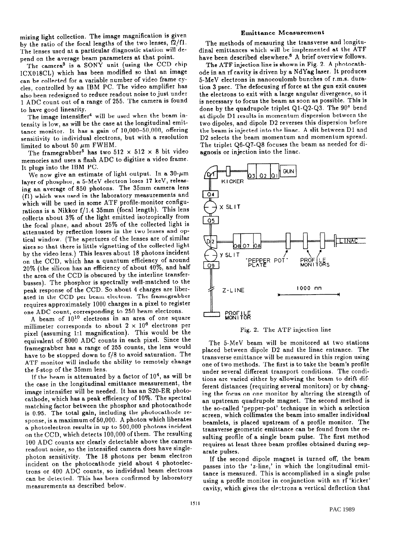mizing light collection. The image magnification is given by the ratio of the focal lengths of the two lenses, f2/fl. The lenses used at a particular diagnostic station will depend on the average beam parameters at that point.

The camera<sup>3</sup> is a SONY unit (using the CCD chip ICX018CL) which has been modified so that an image can be collected for a variable number of video frame cycles, controlled by an IBM PC. The video amplifier has also been redesigned to reduce readout noise to just under 1 ADC count out of a range of 255. The camera is found to have good linearity.

The image intensifier<sup>4</sup> will be used when the beam intensity is low, as will be the case at the longitudinal emittance monitor. It has a gain of lO,OOO-50,000, offering sensitivity to individual electrons, but with a resolution limited to about 50  $\mu$ m FWHM.

The framegrabber<sup>5</sup> has two 512  $\times$  512  $\times$  8 bit video memories and uses a flash ADC to digitize a video frame. It plugs into the IBM PC.

We now give an estimate of light output. In a  $30$ - $\mu$ m layer of phosphor, a 5-MeV electron loses 17 keV, releasing an average of 850 photons. The 35mm camera lens (fl) which was used in the laboratory measurements and which will be used in some ATF profile-monitor configurations is a Nikkor f/1.4 35mm (focal length). This lens collects about 3% of the light emitted isotropically from the focal plane, and about 25% of the collected light is attenuated by reflection losses in the two lenses and optical window. (The apertures of the lenses are of similar sizes so that there is little vignetting of the collected light by the video lens.) This leaves about 18 photons incident on the CCD, which has a quantum efficiency of around 20% (the silicon has an efficiency of about 40%, and half the area of the CCD is obscured by the interline transferbusses). The phosphor is spectrally well-matched to the peak response of the CCD. So about 4 charges are liberated in the CCD per beam electron. The framegrabber requires approximately 1000 charges in a pixel to register one ADC count, corresponding to 250 beam electrons.

A beam of  $10^{10}$  electrons in an area of one square millimeter corresponds to about  $2 \times 10^6$  electrons per pixel (assuming 1:l magnification). This would be the equivalent of 8000 ADC counts in each pixel. Since the framegrabber has a range of 255 counts, the lens would have to be stopped down to f/8 to avoid saturation. The ATF monitor will include the ability to remotely change the f-stop of the 35mm lens.

If the beam is attenuated by a factor of  $10<sup>4</sup>$ , as will be the case in the longitudinal emittance measurement, the image intensifier will be needed. It has an S20-ER photocathode, which has a peak efficiency of 10%. The spectral matching factor between the phosphor and photocathode is 0.95. The total gain, including the photocathode response, is a maximum of 50,000. A photon which liberates a photoelectron results in up to 500,000 photons incident on the CCD, which detects 100,000 of them. The resulting 100 ADC counts are clearly detectable above the camera readout noise, so the intensified camera does have singlephoton sensiiivity. The 18 photons per beam electron incident on the photocathode yield about 4 photoelectrons or 400 ADC counts, so individual beam electrons can be detected. This has been confirmed by laboratory measurements as described below.

# Emittance Measurement

The methods of measuring the transverse and longitudinal emittances which will be implemented at the ATF have been described elsewhere.<sup>6</sup> A brief overview follows.

The ATF injection line is shown in Fig. 2. A photocath-<br>ode in an rf cavity is driven by a NdYag laser. It produces ode in an ri cavity is driven by a Nd I ag laser. It produce 5-MeV electrons in nanocoulomb bunches of r.m.s. duration 3 psec. The defocusing rf force at the gun exit causes the electrons to exit with a large angular divergence, so it is necessary to focus the beam as soon as possible. This is done by the quadrupole triplet Q1-Q2-Q3. The 90° bend at dipole Dl results in momentum dispersion between the two dipoles, and dipole D2 reverses this dispersion before the beam is injected into the linac. A slit between D1 and D2 selects the beam momentum and momentum spread. The triplet Q6-Q7-Q8 focuses the beam as needed for diagnosis or injection into the linac.



### Fig. 2. The ATF injection line

The 5-MeV beam will be monitored at two stations placed between dipole D2 and the linac entrance. The transverse emittance will be measured in this region using one of two methods. The first is to take the beam's profile under several different transport conditions. The conditions are varied either by allowing the beam to drift different distances (requiring several monitors) or by changing the focus on one monitor by altering the strength of an upstream quadrupole magnet. The second method is the so-called 'pepper-pot' technique in which a selection screen, which collimates the beam into smaller individual beamlets, is placed upstream of a profile monitor. The transverse geometric emittance can be found from the resulting profile of a single beam pulse. The first method requires at least three beam profiles obtained during separate pulses.

If the second dipole magnet is turned off, the beam passes into the 'z-line,' in which the longitudinal emittance is measured. This is accomplished in a single pulse using a profile monitor in conjunction with an rf 'kicker' cavity, which gives the ele-trons a vertical deflection that